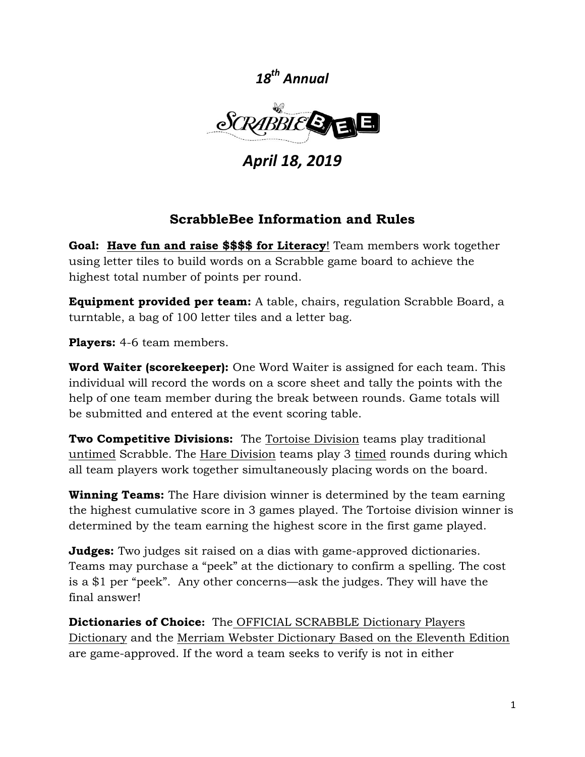*18th Annual*



*April 18, 2019*

## **ScrabbleBee Information and Rules**

**Goal: Have fun and raise \$\$\$\$ for Literacy**! Team members work together using letter tiles to build words on a Scrabble game board to achieve the highest total number of points per round.

**Equipment provided per team:** A table, chairs, regulation Scrabble Board, a turntable, a bag of 100 letter tiles and a letter bag.

**Players:** 4-6 team members.

**Word Waiter (scorekeeper):** One Word Waiter is assigned for each team. This individual will record the words on a score sheet and tally the points with the help of one team member during the break between rounds. Game totals will be submitted and entered at the event scoring table.

**Two Competitive Divisions:** The Tortoise Division teams play traditional untimed Scrabble. The Hare Division teams play 3 timed rounds during which all team players work together simultaneously placing words on the board.

**Winning Teams:** The Hare division winner is determined by the team earning the highest cumulative score in 3 games played. The Tortoise division winner is determined by the team earning the highest score in the first game played.

**Judges:** Two judges sit raised on a dias with game-approved dictionaries. Teams may purchase a "peek" at the dictionary to confirm a spelling. The cost is a \$1 per "peek". Any other concerns—ask the judges. They will have the final answer!

**Dictionaries of Choice:** The OFFICIAL SCRABBLE Dictionary Players Dictionary and the Merriam Webster Dictionary Based on the Eleventh Edition are game-approved. If the word a team seeks to verify is not in either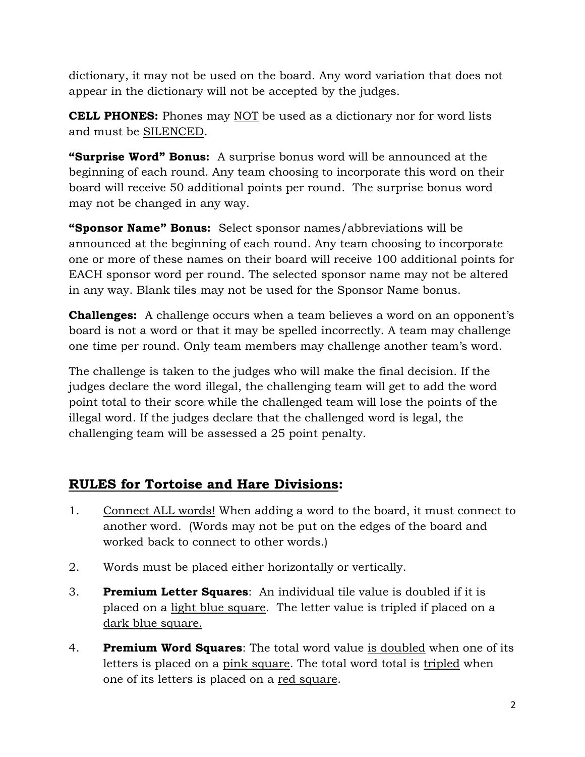dictionary, it may not be used on the board. Any word variation that does not appear in the dictionary will not be accepted by the judges.

**CELL PHONES:** Phones may NOT be used as a dictionary nor for word lists and must be SILENCED.

**"Surprise Word" Bonus:** A surprise bonus word will be announced at the beginning of each round. Any team choosing to incorporate this word on their board will receive 50 additional points per round. The surprise bonus word may not be changed in any way.

**"Sponsor Name" Bonus:** Select sponsor names/abbreviations will be announced at the beginning of each round. Any team choosing to incorporate one or more of these names on their board will receive 100 additional points for EACH sponsor word per round. The selected sponsor name may not be altered in any way. Blank tiles may not be used for the Sponsor Name bonus.

**Challenges:** A challenge occurs when a team believes a word on an opponent's board is not a word or that it may be spelled incorrectly. A team may challenge one time per round. Only team members may challenge another team's word.

The challenge is taken to the judges who will make the final decision. If the judges declare the word illegal, the challenging team will get to add the word point total to their score while the challenged team will lose the points of the illegal word. If the judges declare that the challenged word is legal, the challenging team will be assessed a 25 point penalty.

# **RULES for Tortoise and Hare Divisions:**

- 1. Connect ALL words! When adding a word to the board, it must connect to another word. (Words may not be put on the edges of the board and worked back to connect to other words.)
- 2. Words must be placed either horizontally or vertically.
- 3. **Premium Letter Squares**: An individual tile value is doubled if it is placed on a light blue square. The letter value is tripled if placed on a dark blue square.
- 4. **Premium Word Squares**: The total word value is doubled when one of its letters is placed on a pink square. The total word total is tripled when one of its letters is placed on a red square.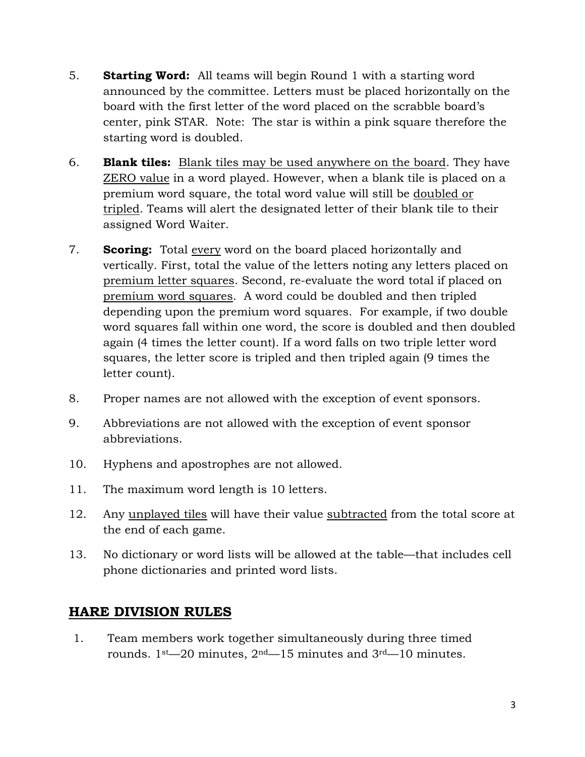- 5. **Starting Word:** All teams will begin Round 1 with a starting word announced by the committee. Letters must be placed horizontally on the board with the first letter of the word placed on the scrabble board's center, pink STAR. Note: The star is within a pink square therefore the starting word is doubled.
- 6. **Blank tiles:** Blank tiles may be used anywhere on the board. They have ZERO value in a word played. However, when a blank tile is placed on a premium word square, the total word value will still be doubled or tripled. Teams will alert the designated letter of their blank tile to their assigned Word Waiter.
- 7. **Scoring:** Total every word on the board placed horizontally and vertically. First, total the value of the letters noting any letters placed on premium letter squares. Second, re-evaluate the word total if placed on premium word squares. A word could be doubled and then tripled depending upon the premium word squares. For example, if two double word squares fall within one word, the score is doubled and then doubled again (4 times the letter count). If a word falls on two triple letter word squares, the letter score is tripled and then tripled again (9 times the letter count).
- 8. Proper names are not allowed with the exception of event sponsors.
- 9. Abbreviations are not allowed with the exception of event sponsor abbreviations.
- 10. Hyphens and apostrophes are not allowed.
- 11. The maximum word length is 10 letters.
- 12. Any unplayed tiles will have their value subtracted from the total score at the end of each game.
- 13. No dictionary or word lists will be allowed at the table—that includes cell phone dictionaries and printed word lists.

### **HARE DIVISION RULES**

1. Team members work together simultaneously during three timed rounds. 1st—20 minutes, 2nd—15 minutes and 3rd—10 minutes.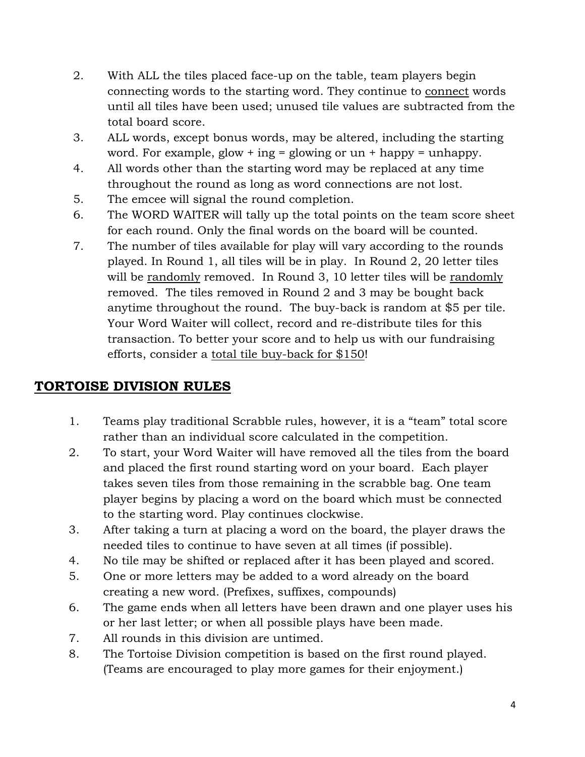- 2. With ALL the tiles placed face-up on the table, team players begin connecting words to the starting word. They continue to connect words until all tiles have been used; unused tile values are subtracted from the total board score.
- 3. ALL words, except bonus words, may be altered, including the starting word. For example, glow + ing = glowing or  $un +$  happy = unhappy.
- 4. All words other than the starting word may be replaced at any time throughout the round as long as word connections are not lost.
- 5. The emcee will signal the round completion.
- 6. The WORD WAITER will tally up the total points on the team score sheet for each round. Only the final words on the board will be counted.
- 7. The number of tiles available for play will vary according to the rounds played. In Round 1, all tiles will be in play. In Round 2, 20 letter tiles will be randomly removed. In Round 3, 10 letter tiles will be randomly removed. The tiles removed in Round 2 and 3 may be bought back anytime throughout the round. The buy-back is random at \$5 per tile. Your Word Waiter will collect, record and re-distribute tiles for this transaction. To better your score and to help us with our fundraising efforts, consider a total tile buy-back for \$150!

## **TORTOISE DIVISION RULES**

- 1. Teams play traditional Scrabble rules, however, it is a "team" total score rather than an individual score calculated in the competition.
- 2. To start, your Word Waiter will have removed all the tiles from the board and placed the first round starting word on your board. Each player takes seven tiles from those remaining in the scrabble bag. One team player begins by placing a word on the board which must be connected to the starting word. Play continues clockwise.
- 3. After taking a turn at placing a word on the board, the player draws the needed tiles to continue to have seven at all times (if possible).
- 4. No tile may be shifted or replaced after it has been played and scored.
- 5. One or more letters may be added to a word already on the board creating a new word. (Prefixes, suffixes, compounds)
- 6. The game ends when all letters have been drawn and one player uses his or her last letter; or when all possible plays have been made.
- 7. All rounds in this division are untimed.
- 8. The Tortoise Division competition is based on the first round played. (Teams are encouraged to play more games for their enjoyment.)